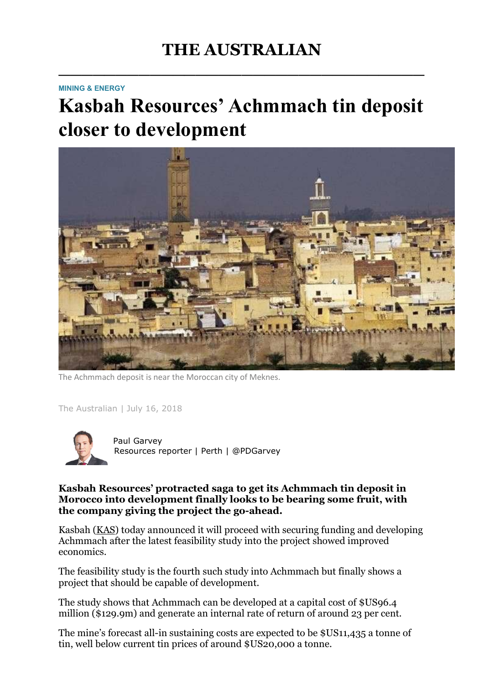## THE AUSTRALIAN

 $\overline{\phantom{a}}$  , which is a set of the set of the set of the set of the set of the set of the set of the set of the set of the set of the set of the set of the set of the set of the set of the set of the set of the set of th

## MINING & ENERGY

## Kasbah Resources' Achmmach tin deposit closer to development



The Achmmach deposit is near the Moroccan city of Meknes.

The Australian | July 16, 2018



 Paul Garvey Resources reporter | Perth | @PDGarvey

## Kasbah Resources' protracted saga to get its Achmmach tin deposit in Morocco into development finally looks to be bearing some fruit, with the company giving the project the go-ahead.

Kasbah (KAS) today announced it will proceed with securing funding and developing Achmmach after the latest feasibility study into the project showed improved economics.

The feasibility study is the fourth such study into Achmmach but finally shows a project that should be capable of development.

The study shows that Achmmach can be developed at a capital cost of \$US96.4 million (\$129.9m) and generate an internal rate of return of around 23 per cent.

The mine's forecast all-in sustaining costs are expected to be \$US11,435 a tonne of tin, well below current tin prices of around \$US20,000 a tonne.